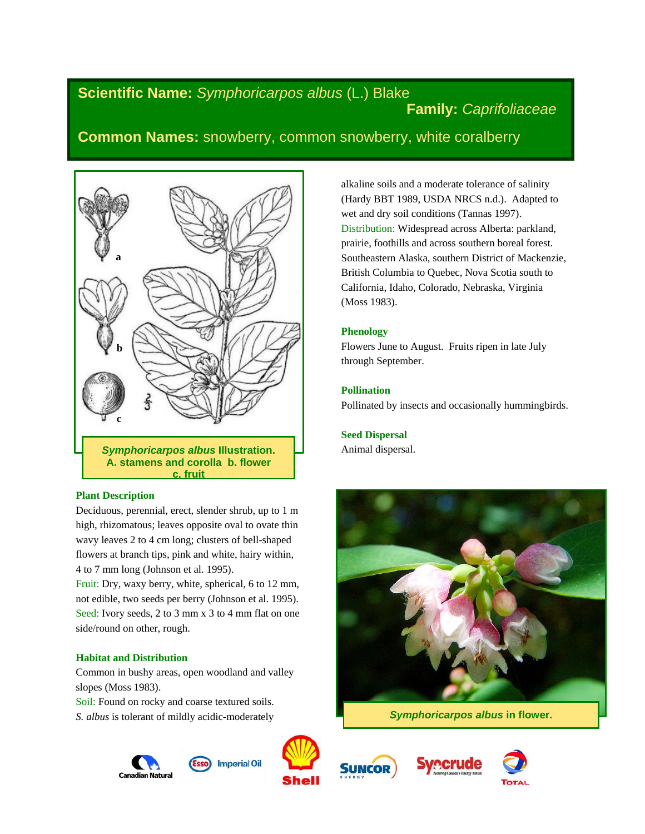# **Scientific Name:** *Symphoricarpos albus* (L.) Blake

# **Family:** *Caprifoliaceae*

# **Common Names:** snowberry, common snowberry, white coralberry



## **Plant Description**

Deciduous, perennial, erect, slender shrub, up to 1 m high, rhizomatous; leaves opposite oval to ovate thin wavy leaves 2 to 4 cm long; clusters of bell-shaped flowers at branch tips, pink and white, hairy within, 4 to 7 mm long (Johnson et al. 1995).

Fruit: Dry, waxy berry, white, spherical, 6 to 12 mm, not edible, two seeds per berry (Johnson et al. 1995). Seed: Ivory seeds, 2 to 3 mm x 3 to 4 mm flat on one side/round on other, rough.

## **Habitat and Distribution**

Common in bushy areas, open woodland and valley slopes (Moss 1983).

Soil: Found on rocky and coarse textured soils. *S. albus* is tolerant of mildly acidic-moderately



**Imperial Oil** 











alkaline soils and a moderate tolerance of salinity (Hardy BBT 1989, USDA NRCS n.d.). Adapted to wet and dry soil conditions (Tannas 1997). Distribution: Widespread across Alberta: parkland, prairie, foothills and across southern boreal forest. Southeastern Alaska, southern District of Mackenzie, British Columbia to Quebec, Nova Scotia south to California, Idaho, Colorado, Nebraska, Virginia (Moss 1983).

## **Phenology**

Flowers June to August. Fruits ripen in late July through September.

## **Pollination**

Pollinated by insects and occasionally hummingbirds.

## **Seed Dispersal** Animal dispersal.



*Symphoricarpos albus* **in flower.**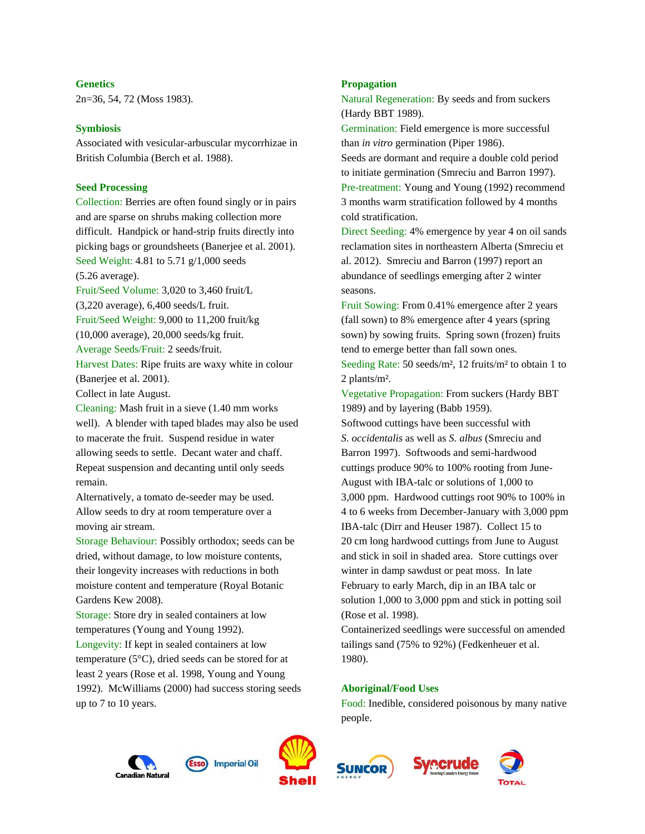#### **Genetics**

2n=36, 54, 72 (Moss 1983).

#### **Symbiosis**

Associated with vesicular-arbuscular mycorrhizae in British Columbia (Berch et al. 1988).

#### **Seed Processing**

Collection: Berries are often found singly or in pairs and are sparse on shrubs making collection more difficult. Handpick or hand-strip fruits directly into picking bags or groundsheets (Banerjee et al. 2001). Seed Weight: 4.81 to 5.71 g/1,000 seeds

(5.26 average).

Fruit/Seed Volume: 3,020 to 3,460 fruit/L (3,220 average), 6,400 seeds/L fruit. Fruit/Seed Weight: 9,000 to 11,200 fruit/kg (10,000 average), 20,000 seeds/kg fruit.

Average Seeds/Fruit: 2 seeds/fruit.

Harvest Dates: Ripe fruits are waxy white in colour (Banerjee et al. 2001).

Collect in late August.

Cleaning: Mash fruit in a sieve (1.40 mm works well). A blender with taped blades may also be used to macerate the fruit. Suspend residue in water allowing seeds to settle. Decant water and chaff. Repeat suspension and decanting until only seeds remain.

Alternatively, a tomato de-seeder may be used. Allow seeds to dry at room temperature over a moving air stream.

Storage Behaviour: Possibly orthodox; seeds can be dried, without damage, to low moisture contents, their longevity increases with reductions in both moisture content and temperature (Royal Botanic Gardens Kew 2008).

Storage: Store dry in sealed containers at low temperatures (Young and Young 1992). Longevity: If kept in sealed containers at low temperature (5°C), dried seeds can be stored for at least 2 years (Rose et al. 1998, Young and Young 1992). McWilliams (2000) had success storing seeds up to 7 to 10 years.

#### **Propagation**

Natural Regeneration: By seeds and from suckers (Hardy BBT 1989).

Germination: Field emergence is more successful than *in vitro* germination (Piper 1986).

Seeds are dormant and require a double cold period to initiate germination (Smreciu and Barron 1997). Pre-treatment: Young and Young (1992) recommend 3 months warm stratification followed by 4 months cold stratification.

Direct Seeding: 4% emergence by year 4 on oil sands reclamation sites in northeastern Alberta (Smreciu et al. 2012). Smreciu and Barron (1997) report an abundance of seedlings emerging after 2 winter seasons.

Fruit Sowing: From 0.41% emergence after 2 years (fall sown) to 8% emergence after 4 years (spring sown) by sowing fruits. Spring sown (frozen) fruits tend to emerge better than fall sown ones. Seeding Rate: 50 seeds/m², 12 fruits/m² to obtain 1 to 2 plants/m².

Vegetative Propagation: From suckers (Hardy BBT 1989) and by layering (Babb 1959). Softwood cuttings have been successful with *S. occidentalis* as well as *S. albus* (Smreciu and Barron 1997). Softwoods and semi-hardwood cuttings produce 90% to 100% rooting from June-August with IBA-talc or solutions of 1,000 to 3,000 ppm. Hardwood cuttings root 90% to 100% in 4 to 6 weeks from December-January with 3,000 ppm IBA-talc (Dirr and Heuser 1987). Collect 15 to 20 cm long hardwood cuttings from June to August and stick in soil in shaded area. Store cuttings over winter in damp sawdust or peat moss. In late February to early March, dip in an IBA talc or solution 1,000 to 3,000 ppm and stick in potting soil (Rose et al. 1998).

Containerized seedlings were successful on amended tailings sand (75% to 92%) (Fedkenheuer et al. 1980).

#### **Aboriginal/Food Uses**

Food: Inedible, considered poisonous by many native people.

*r*ecrude







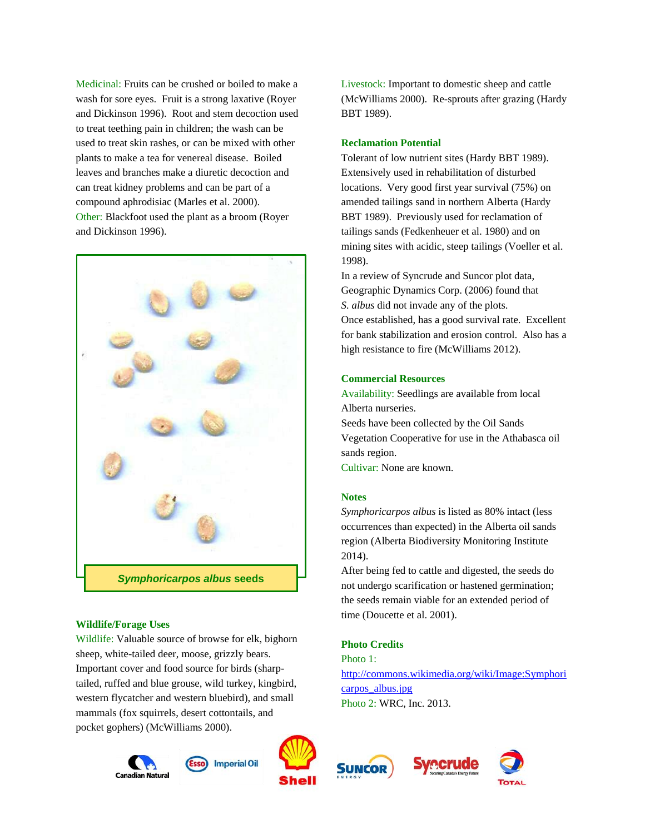Medicinal: Fruits can be crushed or boiled to make a wash for sore eyes. Fruit is a strong laxative (Royer and Dickinson 1996). Root and stem decoction used to treat teething pain in children; the wash can be used to treat skin rashes, or can be mixed with other plants to make a tea for venereal disease. Boiled leaves and branches make a diuretic decoction and can treat kidney problems and can be part of a compound aphrodisiac (Marles et al. 2000). Other: Blackfoot used the plant as a broom (Royer and Dickinson 1996).



## **Wildlife/Forage Uses**

Wildlife: Valuable source of browse for elk, bighorn sheep, white-tailed deer, moose, grizzly bears. Important cover and food source for birds (sharptailed, ruffed and blue grouse, wild turkey, kingbird, western flycatcher and western bluebird), and small mammals (fox squirrels, desert cottontails, and pocket gophers) (McWilliams 2000).





**Imperial Oil** 

(McWilliams 2000). Re-sprouts after grazing (Hardy BBT 1989). **Reclamation Potential**

Livestock: Important to domestic sheep and cattle

Tolerant of low nutrient sites (Hardy BBT 1989). Extensively used in rehabilitation of disturbed locations. Very good first year survival (75%) on amended tailings sand in northern Alberta (Hardy BBT 1989). Previously used for reclamation of tailings sands (Fedkenheuer et al. 1980) and on mining sites with acidic, steep tailings (Voeller et al. 1998).

In a review of Syncrude and Suncor plot data, Geographic Dynamics Corp. (2006) found that *S. albus* did not invade any of the plots. Once established, has a good survival rate. Excellent for bank stabilization and erosion control. Also has a high resistance to fire (McWilliams 2012).

### **Commercial Resources**

Availability: Seedlings are available from local Alberta nurseries. Seeds have been collected by the Oil Sands Vegetation Cooperative for use in the Athabasca oil sands region.

Cultivar: None are known.

#### **Notes**

*Symphoricarpos albus* is listed as 80% intact (less occurrences than expected) in the Alberta oil sands region (Alberta Biodiversity Monitoring Institute 2014).

After being fed to cattle and digested, the seeds do not undergo scarification or hastened germination; the seeds remain viable for an extended period of time (Doucette et al. 2001).

## **Photo Credits**

Photo 1: [http://commons.wikimedia.org/wiki/Image:Symphori](http://commons.wikimedia.org/wiki/Image:Symphoricarpos_albus.jpg) carpos albus.jpg Photo 2: WRC, Inc. 2013.



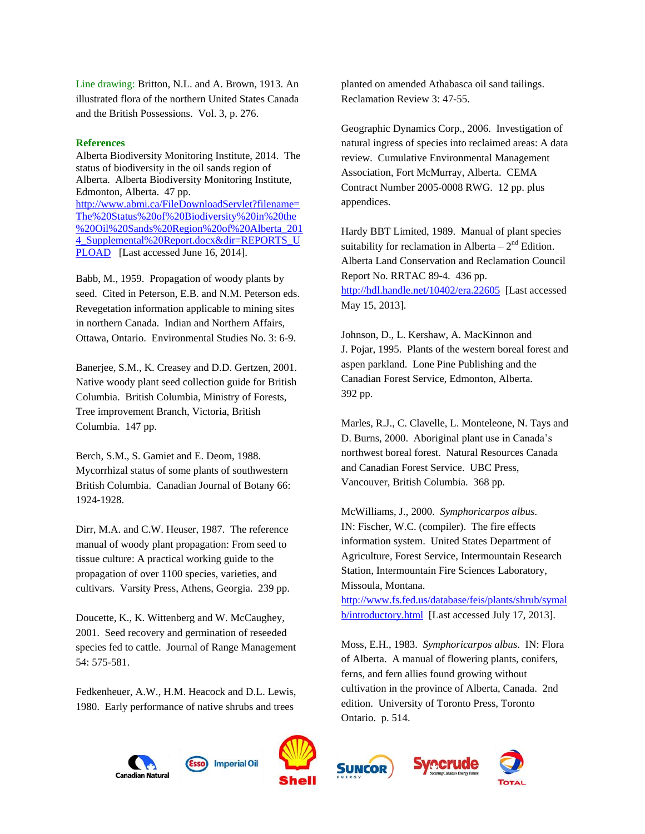Line drawing: Britton, N.L. and A. Brown, 1913. An illustrated flora of the northern United States Canada and the British Possessions. Vol. 3, p. 276.

#### **References**

Alberta Biodiversity Monitoring Institute, 2014. The status of biodiversity in the oil sands region of Alberta. Alberta Biodiversity Monitoring Institute, Edmonton, Alberta. 47 pp. [http://www.abmi.ca/FileDownloadServlet?filename=](http://www.abmi.ca/FileDownloadServlet?filename=The%20Status%20of%20Biodiversity%20in%20the%20Oil%20Sands%20Region%20of%20Alberta_2014_Supplemental%20Report.docx&dir=REPORTS_UPLOAD) [The%20Status%20of%20Biodiversity%20in%20the](http://www.abmi.ca/FileDownloadServlet?filename=The%20Status%20of%20Biodiversity%20in%20the%20Oil%20Sands%20Region%20of%20Alberta_2014_Supplemental%20Report.docx&dir=REPORTS_UPLOAD) [%20Oil%20Sands%20Region%20of%20Alberta\\_201](http://www.abmi.ca/FileDownloadServlet?filename=The%20Status%20of%20Biodiversity%20in%20the%20Oil%20Sands%20Region%20of%20Alberta_2014_Supplemental%20Report.docx&dir=REPORTS_UPLOAD) 4 Supplemental%20Report.docx&dir=REPORTS\_U [PLOAD](http://www.abmi.ca/FileDownloadServlet?filename=The%20Status%20of%20Biodiversity%20in%20the%20Oil%20Sands%20Region%20of%20Alberta_2014_Supplemental%20Report.docx&dir=REPORTS_UPLOAD) [Last accessed June 16, 2014].

Babb, M., 1959. Propagation of woody plants by seed. Cited in Peterson, E.B. and N.M. Peterson eds. Revegetation information applicable to mining sites in northern Canada. Indian and Northern Affairs, Ottawa, Ontario. Environmental Studies No. 3: 6-9.

Banerjee, S.M., K. Creasey and D.D. Gertzen, 2001. Native woody plant seed collection guide for British Columbia. British Columbia, Ministry of Forests, Tree improvement Branch, Victoria, British Columbia. 147 pp.

Berch, S.M., S. Gamiet and E. Deom, 1988. Mycorrhizal status of some plants of southwestern British Columbia. Canadian Journal of Botany 66: 1924-1928.

Dirr, M.A. and C.W. Heuser, 1987. The reference manual of woody plant propagation: From seed to tissue culture: A practical working guide to the propagation of over 1100 species, varieties, and cultivars. Varsity Press, Athens, Georgia. 239 pp.

Doucette, K., K. Wittenberg and W. McCaughey, 2001. Seed recovery and germination of reseeded species fed to cattle. Journal of Range Management 54: 575-581.

Fedkenheuer, A.W., H.M. Heacock and D.L. Lewis, 1980. Early performance of native shrubs and trees

planted on amended Athabasca oil sand tailings. Reclamation Review 3: 47-55.

Geographic Dynamics Corp., 2006. Investigation of natural ingress of species into reclaimed areas: A data review. Cumulative Environmental Management Association, Fort McMurray, Alberta. CEMA Contract Number 2005-0008 RWG. 12 pp. plus appendices.

Hardy BBT Limited, 1989. Manual of plant species suitability for reclamation in Alberta  $-2<sup>nd</sup>$  Edition. Alberta Land Conservation and Reclamation Council Report No. RRTAC 89-4. 436 pp. <http://hdl.handle.net/10402/era.22605>[Last accessed May 15, 2013].

Johnson, D., L. Kershaw, A. MacKinnon and J. Pojar, 1995. Plants of the western boreal forest and aspen parkland. Lone Pine Publishing and the Canadian Forest Service, Edmonton, Alberta. 392 pp.

Marles, R.J., C. Clavelle, L. Monteleone, N. Tays and D. Burns, 2000. Aboriginal plant use in Canada's northwest boreal forest. Natural Resources Canada and Canadian Forest Service. UBC Press, Vancouver, British Columbia. 368 pp.

McWilliams, J., 2000. *Symphoricarpos albus*. IN: Fischer, W.C. (compiler). The fire effects information system. United States Department of Agriculture, Forest Service, Intermountain Research Station, Intermountain Fire Sciences Laboratory, Missoula, Montana.

[http://www.fs.fed.us/database/feis/plants/shrub/symal](http://www.fs.fed.us/database/feis/plants/shrub/symalb/introductory.html) [b/introductory.html](http://www.fs.fed.us/database/feis/plants/shrub/symalb/introductory.html) [Last accessed July 17, 2013].

Moss, E.H., 1983. *Symphoricarpos albus*. IN: Flora of Alberta. A manual of flowering plants, conifers, ferns, and fern allies found growing without cultivation in the province of Alberta, Canada. 2nd edition. University of Toronto Press, Toronto Ontario. p. 514.

recrude